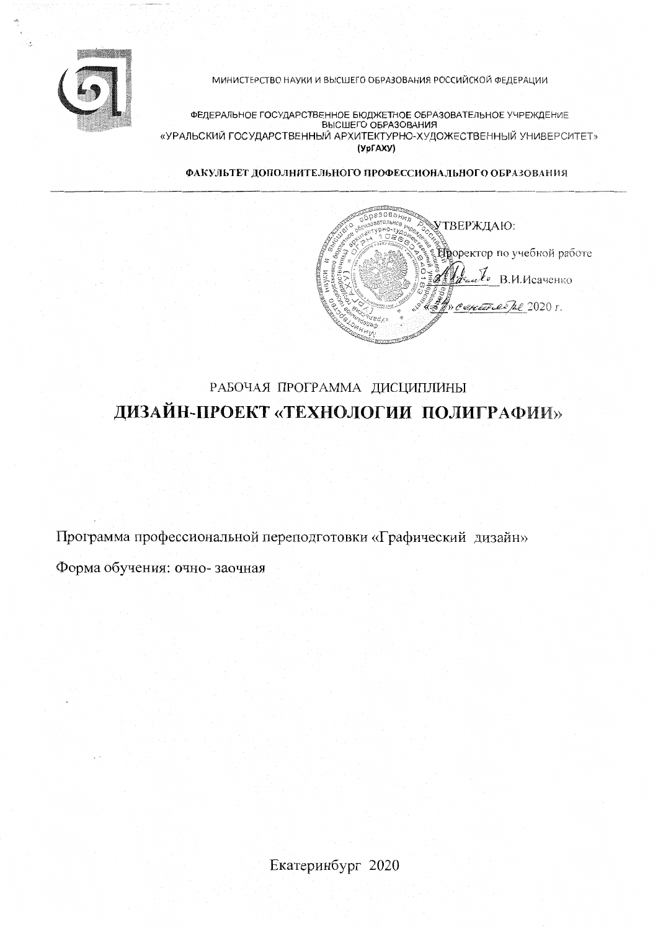

МИНИСТЕРСТВО НАУКИ И ВЫСШЕГО ОБРАЗОВАНИЯ РОССИЙСКОЙ ФЕДЕРАЦИИ

ФЕДЕРАЛЬНОЕ ГОСУДАРСТВЕННОЕ БЮДЖЕТНОЕ ОБРАЗОВАТЕЛЬНОЕ УЧРЕЖДЕНИЕ<br>ВЫСШЕГО ОБРАЗОВАНИЯ «УРАЛЬСКИЙ ГОСУДАРСТВЕННЫЙ АРХИТЕКТУРНО-ХУДОЖЕСТВЕННЫЙ УНИВЕРСИТЕТ» (УрГАХУ)

ФАКУЛЬТЕТ ДОПОЛНИТЕЛЬНОГО ПРОФЕССИОНАЛЬНОГО ОБРАЗОВАНИЯ

азования УТВЕРЖДАЮ: **Проректор по учебной работе**  $\mathcal{U}_{\bullet}$ . В.И.Исаченко CONCERCE De 2020 г.

# РАБОЧАЯ ПРОГРАММА ДИСЦИПЛИНЫ ДИЗАЙН-ПРОЕКТ «ТЕХНОЛОГИИ ПОЛИГРАФИИ»

Программа профессиональной переподготовки «Графический дизайн» Форма обучения: очно-заочная

Екатеринбург 2020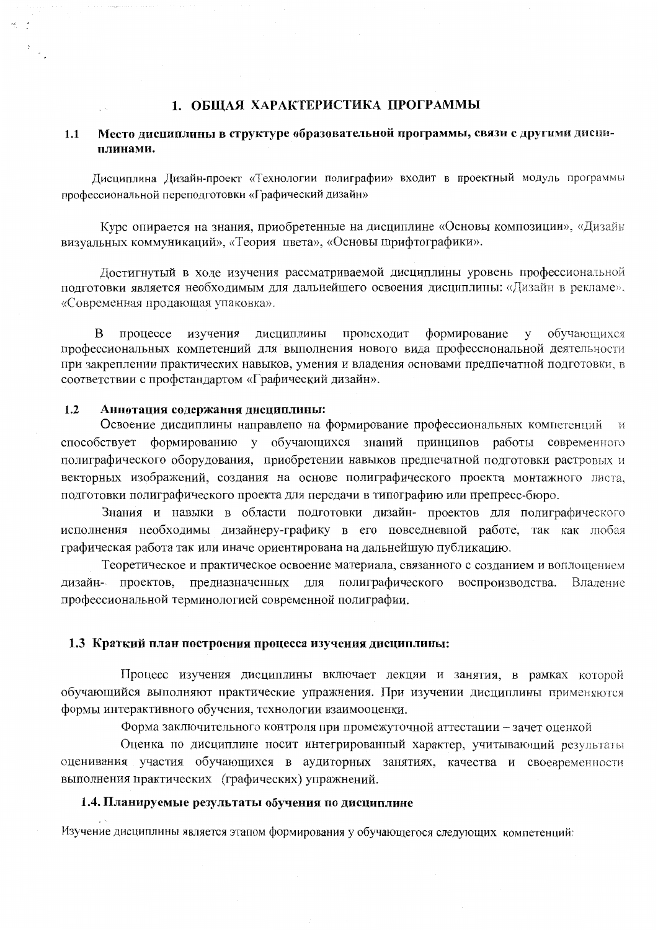#### 1. ОБЩАЯ ХАРАКТЕРИСТИКА ПРОГРАММЫ

#### Место лисциплины в структуре образовательной программы, связи с другими дисци- $1.1$ плинами.

Дисциплина Дизайн-проект «Технологии полиграфии» входит в проектный модуль программы профессиональной переподготовки «Графический дизайн»

Курс опирается на знания, приобретенные на дисциплине «Основы композиции», «Дизайн визуальных коммуникаций», «Теория цвета», «Основы шрифтографики».

Достигнутый в ходе изучения рассматриваемой дисциплины уровень профессиональной подготовки является необходимым для дальнейшего освоения дисциплины: «Дизайн в рекламе», «Современная продающая упаковка».

процессе изучения дисциплины происходит формирование обучающихся  $\mathbf{B}$  $\mathbf{y}$ профессиональных компетенций для выполнения нового вида профессиональной деятельности при закреплении практических навыков, умения и владения основами предпечатной подготовки, в соответствии с профстандартом «Графический дизайн».

#### $1.2$ Аннотация содержания дисциплины:

Освоение дисциплины направлено на формирование профессиональных компетенций и способствует формированию у обучающихся знаний принципов работы современного полиграфического оборудования, приобретении навыков предпечатной подготовки растровых и векторных изображений, создания на основе полиграфического проекта монтажного листа, подготовки полиграфического проекта для передачи в типографию или препресс-бюро.

Знания и навыки в области подготовки дизайн- проектов для полиграфического исполнения необходимы дизайнеру-графику в его повседневной работе, так как любая графическая работа так или иначе ориентирована на дальнейшую публикацию.

Теоретическое и практическое освоение материала, связанного с созданием и воплощением для полиграфического воспроизводства. дизайн- проектов, предназначенных Владение профессиональной терминологией современной полиграфии.

#### 1.3 Краткий план построения процесса изучения дисциплины:

Процесс изучения дисциплины включает лекции и занятия, в рамках которой обучающийся выполняют практические упражнения. При изучении дисциплины применяются формы интерактивного обучения, технологии взаимооценки.

Форма заключительного контроля при промежуточной аттестации - зачет оценкой

Оценка по дисциплине носит интегрированный характер, учитывающий результаты оценивания участия обучающихся в аудиторных занятиях, качества и своевременности выполнения практических (графических) упражнений.

#### 1.4. Планируемые результаты обучения по дисциплине

Изучение дисциплины является этапом формирования у обучающегося следующих компетенций: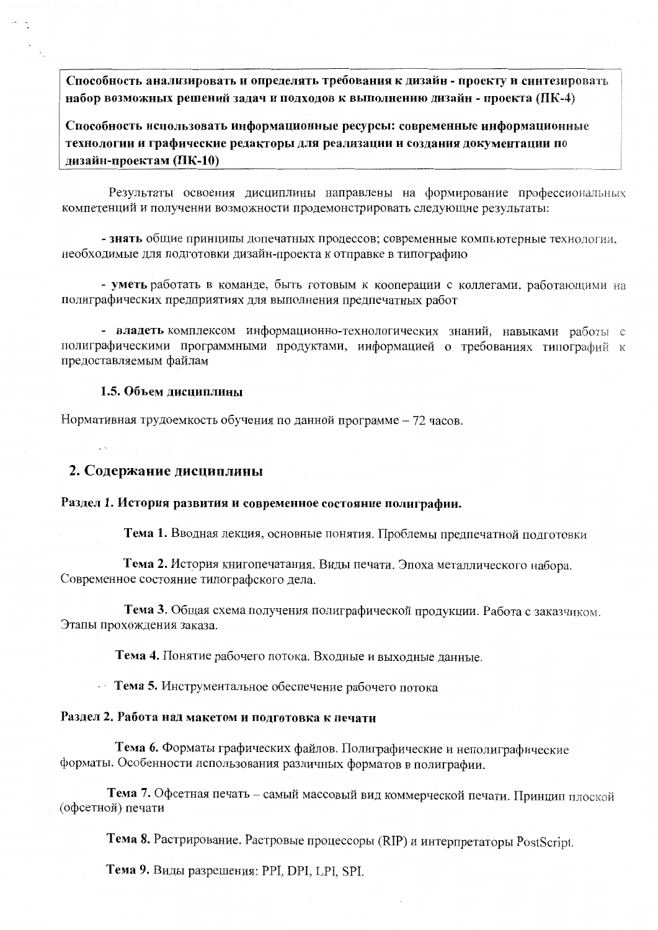Способность анализировать и определять требования к дизайн - проекту и синтезировать набор возможных решений задач и подходов к выполнению дизайн - проекта (ПК-4)

Способность использовать информационные ресурсы: современные информационные технологии и графические редакторы для реализации и создания документации по дизайн-проектам (ПК-10)

Результаты освоения дисциплины направлены на формирование профессиональных компетенций и получении возможности продемонстрировать следующие результаты:

- знать общие принципы допечатных процессов; современные компьютерные технологии. необходимые для подготовки дизайн-проекта к отправке в типографию

- уметь работать в команде, быть готовым к кооперации с коллегами, работающими на полиграфических предприятиях для выполнения предпечатных работ

- владеть комплексом информационно-технологических знаний, навыками работы с полиграфическими программными продуктами, информацией о требованиях типографий к предоставляемым файлам

#### 1.5. Объем лисниплины

Нормативная трудоемкость обучения по данной программе - 72 часов.

#### 2. Содержание дисциплины

#### Раздел 1. История развития и современное состояние полиграфии.

Тема 1. Вводная лекция, основные понятия. Проблемы предпечатной подготовки

Тема 2. История книгопечатания. Виды печати. Эпоха металлического набора. Современное состояние типографского дела.

Тема 3. Общая схема получения полиграфической продукции. Работа с заказчиком. Этапы прохождения заказа.

Тема 4. Понятие рабочего потока. Входные и выходные данные.

• Тема 5. Инструментальное обеспечение рабочего потока

#### Раздел 2. Работа над макетом и подготовка к печати

Тема 6. Форматы графических файлов. Полиграфические и неполиграфические форматы. Особенности использования различных форматов в полиграфии.

Тема 7. Офсетная печать - самый массовый вид коммерческой печати. Принцип плоской (офсетной) печати

Тема 8. Растрирование. Растровые процессоры (RIP) и интерпретаторы PostScript.

Тема 9. Виды разрешения: PPI, DPI, LPI, SPI.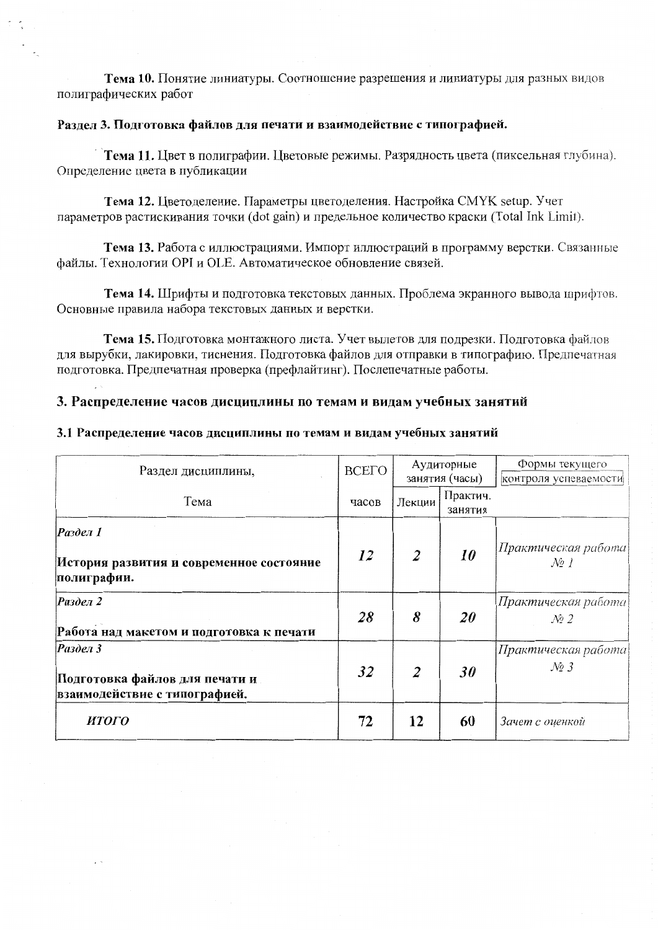Тема 10. Понятие линиатуры. Соотношение разрешения и линиатуры для разных видов полиграфических работ

#### Раздел 3. Подготовка файлов для печати и взаимодействие с типографией.

Тема 11. Пвет в полиграфии. Пветовые режимы. Разрядность цвета (пиксельная глубина). Определение цвета в публикации

Тема 12. Цветоделение. Параметры цветоделения. Настройка СМҮК setup. Учет параметров растискивания точки (dot gain) и предельное количество краски (Total Ink Limit).

Тема 13. Работа с иллюстрациями. Импорт иллюстраций в программу верстки. Связанные файлы. Технологии ОРІ и ОLE. Автоматическое обновление связей.

Тема 14. Шрифты и подготовка текстовых данных. Проблема экранного вывода шрифтов. Основные правила набора текстовых данных и верстки.

Тема 15. Подготовка монтажного листа. Учет вылетов для подрезки. Подготовка файлов для вырубки, лакировки, тиснения. Подготовка файлов для отправки в типографию. Предпечатная подготовка. Предпечатная проверка (префлайтинг). Послепечатные работы.

#### 3. Распределение часов дисциплины по темам и видам учебных занятий

#### 3.1 Распределение часов дисциплины по темам и видам учебных занятий

| Раздел дисциплины,                                                          | <b>BCETO</b> | Аудиторные<br>занятия (часы) |                     | Формы текущего<br>контроля успеваемости              |
|-----------------------------------------------------------------------------|--------------|------------------------------|---------------------|------------------------------------------------------|
| Тема                                                                        | часов        | Лекции                       | Практич.<br>занятия |                                                      |
| Раздел 1<br>История развития и современное состояние<br>полиграфии.         | 12           | 2                            | 10                  | Практическая работа<br>$\mathcal{N}$ o 1             |
| Раздел 2<br>Работа над макетом и подготовка к печати                        | 28           | 8                            | 20                  | Практическая работа<br>$\mathcal{N}$ <sup>2</sup>    |
| Раздел 3<br>Подготовка файлов для печати и<br>взаимодействие с типографией. | 32           | $\overline{2}$               | 30 <sup>°</sup>     | Практическая работа <br>$\mathcal{N}$ <sup>2</sup> 3 |
| ИТОГО                                                                       | 72           | 12                           | 60                  | Зачет с оценкой                                      |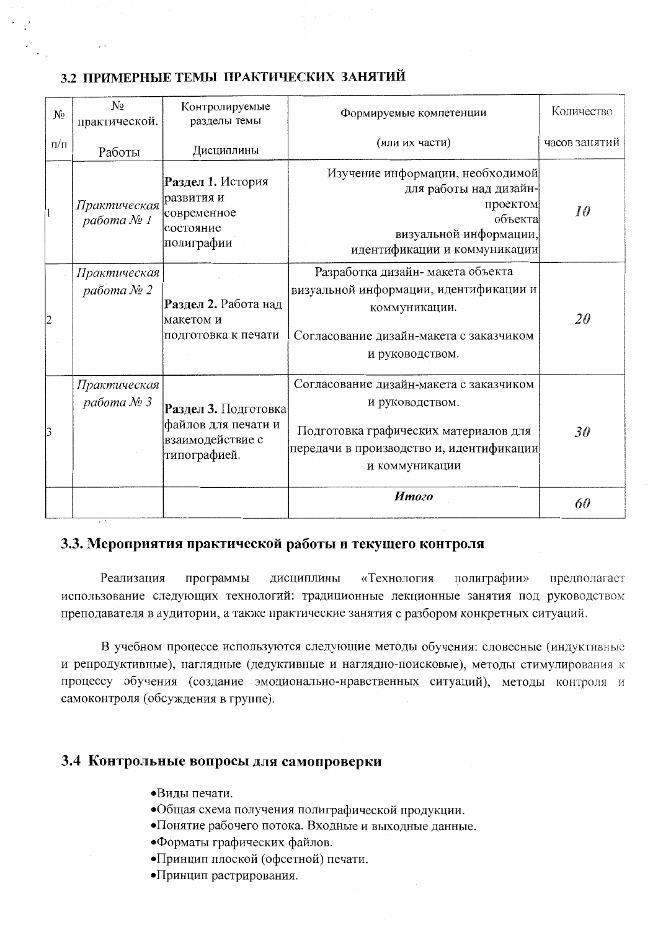## 3.2 ПРИМЕРНЫЕ ТЕМЫ ПРАКТИЧЕСКИХ ЗАНЯТИЙ

| N <sub>2</sub> | $N_2$<br>практической.                  | Контролируемые<br>разделы темы                                                  | Формируемые компетенции                                                                                                                                           | Количество    |
|----------------|-----------------------------------------|---------------------------------------------------------------------------------|-------------------------------------------------------------------------------------------------------------------------------------------------------------------|---------------|
| $\Pi/\Pi$      | Работы                                  | Дисциплины                                                                      | (или их части)                                                                                                                                                    | часов занятий |
| II             | Практическая<br>работа № 1              | Раздел 1. История<br>развития и<br>современное<br>состояние<br>полиграфии       | Изучение информации, необходимой<br>для работы над дизайн-<br>проектом<br>объекта<br>визуальной информации,<br>идентификации и коммуникации                       | 10            |
| 2              | Практическая<br>pa <sub>6</sub> oma № 2 | Раздел 2. Работа над<br>макетом и<br>подготовка к печати                        | Разработка дизайн-макета объекта<br>визуальной информации, идентификации и<br>коммуникации.<br>Согласование дизайн-макета с заказчиком<br>и руководством.         | 20            |
| 13             | Практическая<br>работа № 3              | Раздел 3. Подготовка<br>файлов для печати и<br>взаимодействие с<br>типографией. | Согласование дизайн-макета с заказчиком<br>и руководством.<br>Подготовка графических материалов для<br>передачи в производство и, идентификации<br>и коммуникации | 30            |
|                |                                         |                                                                                 | Итого                                                                                                                                                             | 60            |

#### 3.3. Мероприятия практической работы и текущего контроля

Реализация дисциплины «Технология полиграфии» предполагает программы использование следующих технологий: традиционные лекционные занятия под руководством преподавателя в аудитории, а также практические занятия с разбором конкретных ситуаций.

В учебном процессе используются следующие методы обучения: словесные (индуктивные и репродуктивные), наглядные (дедуктивные и наглядно-поисковые), методы стимулирования к процессу обучения (создание эмоционально-нравственных ситуаций), методы контроля и самоконтроля (обсуждения в группе).

#### 3.4 Контрольные вопросы для самопроверки

- •Виды печати.
- •Общая схема получения полиграфической продукции.
- •Понятие рабочего потока. Входные и выходные данные.
- Форматы графических файлов.
- •Принцип плоской (офсетной) печати.
- •Принцип растрирования.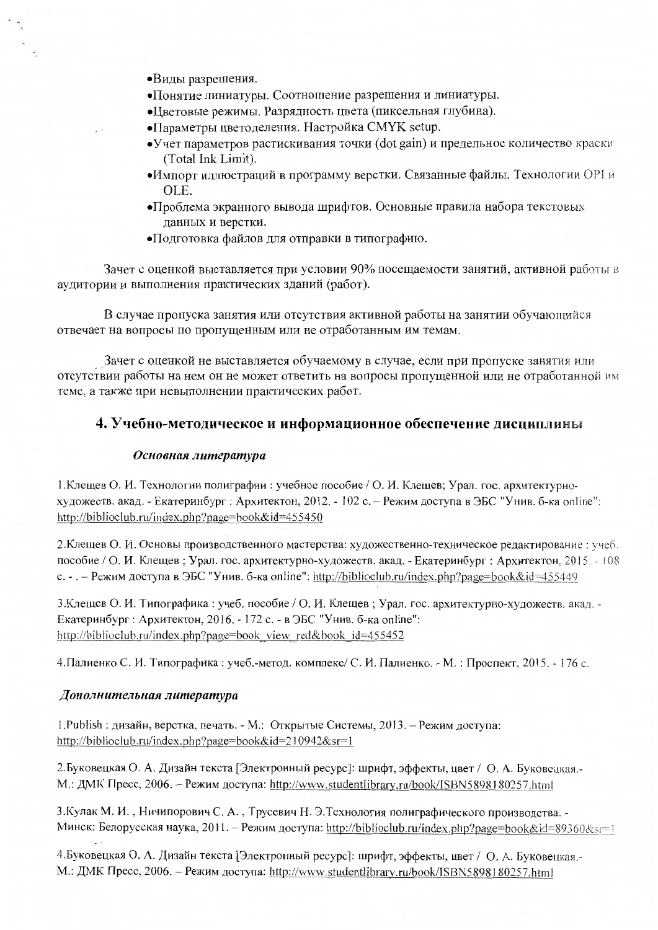- •Виды разрешения.
- •Понятие линиатуры. Соотношение разрешения и линиатуры.
- Цветовые режимы. Разрядность цвета (пиксельная глубина).
- Параметры цветоделения. Настройка СМҮК setup.
- Учет параметров растискивания точки (dot gain) и предельное количество краски (Total Ink Limit).
- •Импорт иллюстраций в программу верстки. Связанные файлы. Технологии ОРІи OLE.
- •Проблема экранного вывода шрифтов. Основные правила набора текстовых данных и верстки.
- •Подготовка файлов для отправки в типографию.

Зачет с оценкой выставляется при условии 90% посещаемости занятий, активной работы в аудитории и выполнения практических зданий (работ).

В случае пропуска занятия или отсутствия активной работы на занятии обучающийся отвечает на вопросы по пропущенным или не отработанным им темам.

Зачет с оценкой не выставляется обучаемому в случае, если при пропуске занятия или отсутствии работы на нем он не может ответить на вопросы пропущенной или не отработанной им теме, а также при невыполнении практических работ.

#### 4. Учебно-методическое и информационное обеспечение дисциплины

#### Основная литература

1. Клещев О. И. Технологии полиграфии: учебное пособие / О. И. Клещев; Урал. гос. архитектурнохудожеств. акад. - Екатеринбург : Архитектон, 2012. - 102 с. – Режим доступа в ЭБС "Унив. б-ка online": http://biblioclub.ru/index.php?page=book&id=455450

2. Клещев О. И. Основы производственного мастерства: художественно-техническое редактирование: учеб. пособие / О. И. Клещев; Урал. гос. архитектурно-художеств. акад. - Екатеринбург; Архитектон, 2015. - 108 с. - . - Режим доступа в ЭБС "Унив. б-ка online": http://biblioclub.ru/index.php?page=book&id=455449

3. Клещев О. И. Типографика: учеб. пособие / О. И. Клещев; Урал. гос. архитектурно-художеств. акад. -Екатеринбург : Архитектон, 2016. - 172 с. - в ЭБС "Унив. б-ка online": http://biblioclub.ru/index.php?page=book view red&book id=455452

4. Палиенко С. И. Типографика: учеб.-метод. комплекс/ С. И. Палиенко. - М.: Проспект, 2015. - 176 с.

#### Дополнительная литература

1. Publish : дизайн, верстка, печать. - М.: Открытые Системы, 2013. - Режим доступа: http://biblioclub.ru/index.php?page=book&id=210942&sr=1

2. Буковецкая О. А. Дизайн текста [Электронный ресурс]: шрифт, эффекты, цвет / О. А. Буковецкая.-М.: ДМК Пресс, 2006. - Режим доступа: http://www.studentlibrary.ru/book/ISBN5898180257.html

3. Кулак М. И., Ничипорович С. А., Трусевич Н. Э. Технология полиграфического производства. -Минск: Белорусская наука, 2011. – Режим доступа: http://biblioclub.ru/index.php?page=book&id=89360&sr=1

4. Буковецкая О. А. Дизайн текста [Электронный ресурс]: шрифт, эффекты, цвет / О. А. Буковецкая. М.: ДМК Пресс, 2006. - Режим доступа: http://www.studentlibrary.ru/book/ISBN5898180257.html